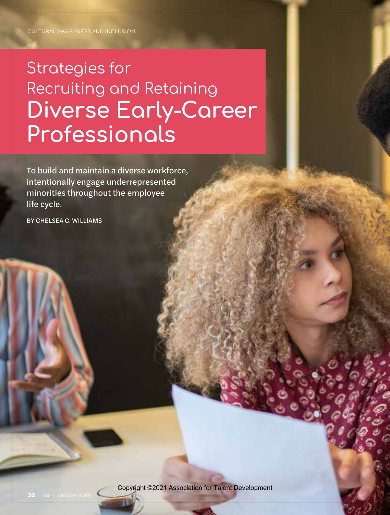# Strategies for Recruiting and Retaining Diverse Early-Career Professionals

To build and maintain a diverse workforce, intentionally engage underrepresented minorities throughout the employee life cycle.

BY CHELSEA C. WILLIAMS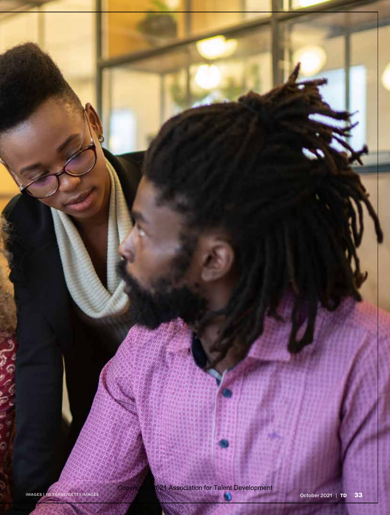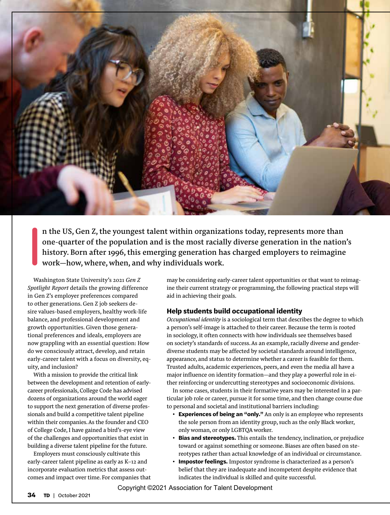

I n the US, Gen Z, the youngest talent within organizations today, represents more than one-quarter of the population and is the most racially diverse generation in the nation's history. Born after 1996, this emerging generation has charged employers to reimagine work—how, where, when, and why individuals work.

Washington State University's 2021 *Gen Z Spotlight Report* details the growing difference in Gen Z's employer preferences compared to other generations. Gen Z job seekers desire values-based employers, healthy work-life balance, and professional development and growth opportunities. Given those generational preferences and ideals, employers are now grappling with an essential question: How do we consciously attract, develop, and retain early-career talent with a focus on diversity, equity, and inclusion?

With a mission to provide the critical link between the development and retention of earlycareer professionals, College Code has advised dozens of organizations around the world eager to support the next generation of diverse professionals and build a competitive talent pipeline within their companies. As the founder and CEO of College Code, I have gained a bird's-eye view of the challenges and opportunities that exist in building a diverse talent pipeline for the future.

Employers must consciously cultivate this early-career talent pipeline as early as K–12 and incorporate evaluation metrics that assess outcomes and impact over time. For companies that may be considering early-career talent opportunities or that want to reimagine their current strategy or programming, the following practical steps will aid in achieving their goals.

#### **Help students build occupational identity**

*Occupational identity* is a sociological term that describes the degree to which a person's self-image is attached to their career. Because the term is rooted in sociology, it often connects with how individuals see themselves based on society's standards of success. As an example, racially diverse and genderdiverse students may be affected by societal standards around intelligence, appearance, and status to determine whether a career is feasible for them. Trusted adults, academic experiences, peers, and even the media all have a major influence on identity formation—and they play a powerful role in either reinforcing or undercutting stereotypes and socioeconomic divisions.

In some cases, students in their formative years may be interested in a particular job role or career, pursue it for some time, and then change course due to personal and societal and institutional barriers including:

- **Experiences of being an "only."** An only is an employee who represents the sole person from an identity group, such as the only Black worker, only woman, or only LGBTQA worker.
- **Bias and stereotypes.** This entails the tendency, inclination, or prejudice toward or against something or someone. Biases are often based on stereotypes rather than actual knowledge of an individual or circumstance.
- **Impostor feelings.** Impostor syndrome is characterized as a person's belief that they are inadequate and incompetent despite evidence that indicates the individual is skilled and quite successful.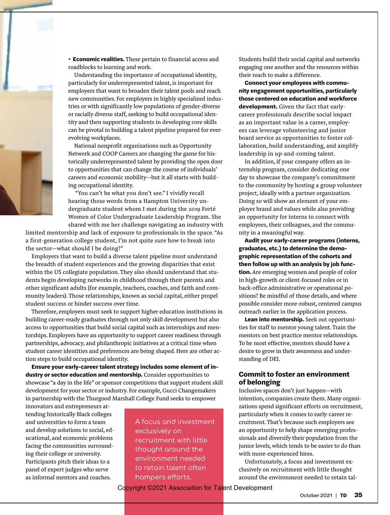• **Economic realities.** These pertain to financial access and roadblocks to learning and work.

Understanding the importance of occupational identity, particularly for underrepresented talent, is important for employers that want to broaden their talent pools and reach new communities. For employers in highly specialized industries or with significantly low populations of gender-diverse or racially diverse staff, seeking to build occupational identity and then supporting students in developing core skills can be pivotal in building a talent pipeline prepared for everevolving workplaces.

National nonprofit organizations such as Opportunity Network and COOP Careers are changing the game for historically underrepresented talent by providing the open door to opportunities that can change the course of individuals' careers and economic mobility—but it all starts with building occupational identity.

 "You can't be what you don't see." I vividly recall hearing those words from a Hampton University undergraduate student whom I met during the 2019 Forté Women of Color Undergraduate Leadership Program. She shared with me her challenge navigating an industry with

limited mentorship and lack of exposure to professionals in the space. "As a first-generation college student, I'm not quite sure how to break into the sector—what should I be doing?"

Employers that want to build a diverse talent pipeline must understand the breadth of student experiences and the growing disparities that exist within the US collegiate population. They also should understand that students begin developing networks in childhood through their parents and other significant adults (for example, teachers, coaches, and faith and community leaders). Those relationships, known as social capital, either propel student success or hinder success over time.

Therefore, employers must seek to support higher education institutions in building career-ready graduates through not only skill development but also access to opportunities that build social capital such as internships and mentorships. Employers have an opportunity to support career readiness through partnerships, advocacy, and philanthropic initiatives at a critical time when student career identities and preferences are being shaped. Here are other action steps to build occupational identity.

**Ensure your early-career talent strategy includes some element of industry or sector education and mentorship.** Consider opportunities to showcase "a day in the life" or sponsor competitions that support student skill development for your sector or industry. For example, Gucci Changemakers in partnership with the Thurgood Marshall College Fund seeks to empower

innovators and entrepreneurs attending historically Black colleges and universities to form a team and develop solutions to social, educational, and economic problems facing the communities surrounding their college or university. Participants pitch their ideas to a panel of expert judges who serve as informal mentors and coaches.

A focus and investment exclusively on recruitment with little thought around the environment needed to retain talent often hampers efforts.

Students build their social capital and networks engaging one another and the resources within their reach to make a difference.

**Connect your employees with community engagement opportunities, particularly those centered on education and workforce development.** Given the fact that earlycareer professionals describe social impact as an important value in a career, employees can leverage volunteering and junior board service as opportunities to foster collaboration, build understanding, and amplify leadership in up-and-coming talent.

In addition, if your company offers an internship program, consider dedicating one day to showcase the company's commitment to the community by hosting a group volunteer project, ideally with a partner organization. Doing so will show an element of your employer brand and values while also providing an opportunity for interns to connect with employees, their colleagues, and the community in a meaningful way.

**Audit your early-career programs (interns, graduates, etc.) to determine the demographic representation of the cohorts and then follow up with an analysis by job function.** Are emerging women and people of color in high-growth or client-focused roles or in back-office administrative or operational positions? Be mindful of those details, and where possible consider more-robust, centered campus outreach earlier in the application process.

**Lean into mentorship.** Seek out opportunities for staff to mentor young talent. Train the mentors on best practice mentor relationships. To be most effective, mentors should have a desire to grow in their awareness and understanding of DEI.

#### **Commit to foster an environment of belonging**

Inclusive spaces don't just happen—with intention, companies create them. Many organizations spend significant efforts on recruitment, particularly when it comes to early-career recruitment. That's because such employers see an opportunity to help shape emerging professionals and diversify their population from the junior levels, which tends to be easier to do than with more-experienced hires.

Unfortunately, a focus and investment exclusively on recruitment with little thought around the environment needed to retain tal-

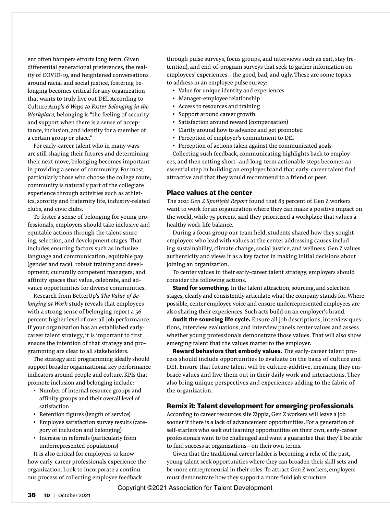ent often hampers efforts long term. Given differential generational preferences, the reality of COVID-19, and heightened conversations around racial and social justice, fostering belonging becomes critical for any organization that wants to truly live out DEI. According to Culture Amp's *6 Ways to Foster Belonging in the Workplace,* belonging is "the feeling of security and support when there is a sense of acceptance, inclusion, and identity for a member of a certain group or place."

For early-career talent who in many ways are still shaping their futures and determining their next move, belonging becomes important in providing a sense of community. For most, particularly those who choose the college route, community is naturally part of the collegiate experience through activities such as athletics, sorority and fraternity life, industry-related clubs, and civic clubs.

To foster a sense of belonging for young professionals, employers should take inclusive and equitable actions through the talent sourcing, selection, and development stages. That includes ensuring factors such as inclusive language and communication; equitable pay (gender and race); robust training and development; culturally competent managers; and affinity spaces that value, celebrate, and advance opportunities for diverse communities.

Research from BetterUp's *The Value of Belonging at Work* study reveals that employees with a strong sense of belonging report a 56 percent higher level of overall job performance. If your organization has an established earlycareer talent strategy, it is important to first ensure the intention of that strategy and programming are clear to all stakeholders.

The strategy and programming ideally should support broader organizational key performance indicators around people and culture. KPIs that promote inclusion and belonging include:

- Number of internal resource groups and affinity groups and their overall level of satisfaction
- Retention figures (length of service)
- Employee satisfaction survey results (category of inclusion and belonging)
- Increase in referrals (particularly from underrepresented populations)

It is also critical for employers to know how early-career professionals experience the organization. Look to incorporate a continuous process of collecting employee feedback

through pulse surveys, focus groups, and interviews such as exit, stay (retention), and end-of-program surveys that seek to gather information on employees' experiences—the good, bad, and ugly. These are some topics to address in an employee pulse survey:

- Value for unique identity and experiences
- Manager-employee relationship
- Access to resources and training
- Support around career growth
- Satisfaction around reward (compensation)
- Clarity around how to advance and get promoted
- Perception of employer's commitment to DEI
- Perception of actions taken against the communicated goals

Collecting such feedback, communicating highlights back to employees, and then setting short- and long-term actionable steps becomes an essential step in building an employer brand that early-career talent find attractive and that they would recommend to a friend or peer.

#### **Place values at the center**

The 2021 *Gen Z Spotlight Report* found that 83 percent of Gen Z workers want to work for an organization where they can make a positive impact on the world, while 75 percent said they prioritized a workplace that values a healthy work-life balance.

During a focus group our team held, students shared how they sought employers who lead with values at the center addressing causes including sustainability, climate change, social justice, and wellness. Gen Z values authenticity and views it as a key factor in making initial decisions about joining an organization.

To center values in their early-career talent strategy, employers should consider the following actions.

**Stand for something.** In the talent attraction, sourcing, and selection stages, clearly and consistently articulate what the company stands for. Where possible, center employee voice and ensure underrepresented employees are also sharing their experiences. Such acts build on an employer's brand.

**Audit the sourcing life cycle.** Ensure all job descriptions, interview questions, interview evaluations, and interview panels center values and assess whether young professionals demonstrate those values. That will also show emerging talent that the values matter to the employer.

**Reward behaviors that embody values.** The early-career talent process should include opportunities to evaluate on the basis of culture and DEI. Ensure that future talent will be culture-additive, meaning they embrace values and live them out in their daily work and interactions. They also bring unique perspectives and experiences adding to the fabric of the organization.

#### **Remix it: Talent development for emerging professionals**

According to career resources site Zippia, Gen Z workers will leave a job sooner if there is a lack of advancement opportunities. For a generation of self-starters who seek out learning opportunities on their own, early-career professionals want to be challenged and want a guarantee that they'll be able to find success at organizations—on their own terms.

Given that the traditional career ladder is becoming a relic of the past, young talent seek opportunities where they can broaden their skill sets and be more entrepreneurial in their roles. To attract Gen Z workers, employers must demonstrate how they support a more fluid job structure.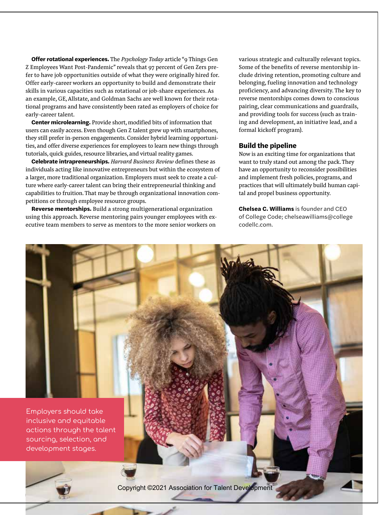**Offer rotational experiences.** The *Psychology Today* article "9 Things Gen Z Employees Want Post-Pandemic" reveals that 97 percent of Gen Zers prefer to have job opportunities outside of what they were originally hired for. Offer early-career workers an opportunity to build and demonstrate their skills in various capacities such as rotational or job-share experiences. As an example, GE, Allstate, and Goldman Sachs are well known for their rotational programs and have consistently been rated as employers of choice for early-career talent.

**Center microlearning.** Provide short, modified bits of information that users can easily access. Even though Gen Z talent grew up with smartphones, they still prefer in-person engagements. Consider hybrid learning opportunities, and offer diverse experiences for employees to learn new things through tutorials, quick guides, resource libraries, and virtual reality games.

**Celebrate intrapreneurships.** *Harvard Business Review* defines these as individuals acting like innovative entrepreneurs but within the ecosystem of a larger, more traditional organization. Employers must seek to create a culture where early-career talent can bring their entrepreneurial thinking and capabilities to fruition. That may be through organizational innovation competitions or through employee resource groups.

**Reverse mentorships.** Build a strong multigenerational organization using this approach. Reverse mentoring pairs younger employees with executive team members to serve as mentors to the more senior workers on

various strategic and culturally relevant topics. Some of the benefits of reverse mentorship include driving retention, promoting culture and belonging, fueling innovation and technology proficiency, and advancing diversity. The key to reverse mentorships comes down to conscious pairing, clear communications and guardrails, and providing tools for success (such as training and development, an initiative lead, and a formal kickoff program).

#### **Build the pipeline**

Now is an exciting time for organizations that want to truly stand out among the pack. They have an opportunity to reconsider possibilities and implement fresh policies, programs, and practices that will ultimately build human capital and propel business opportunity.

**Chelsea C. Williams** is founder and CEO of College Code; chelseawilliams@college codellc.com.